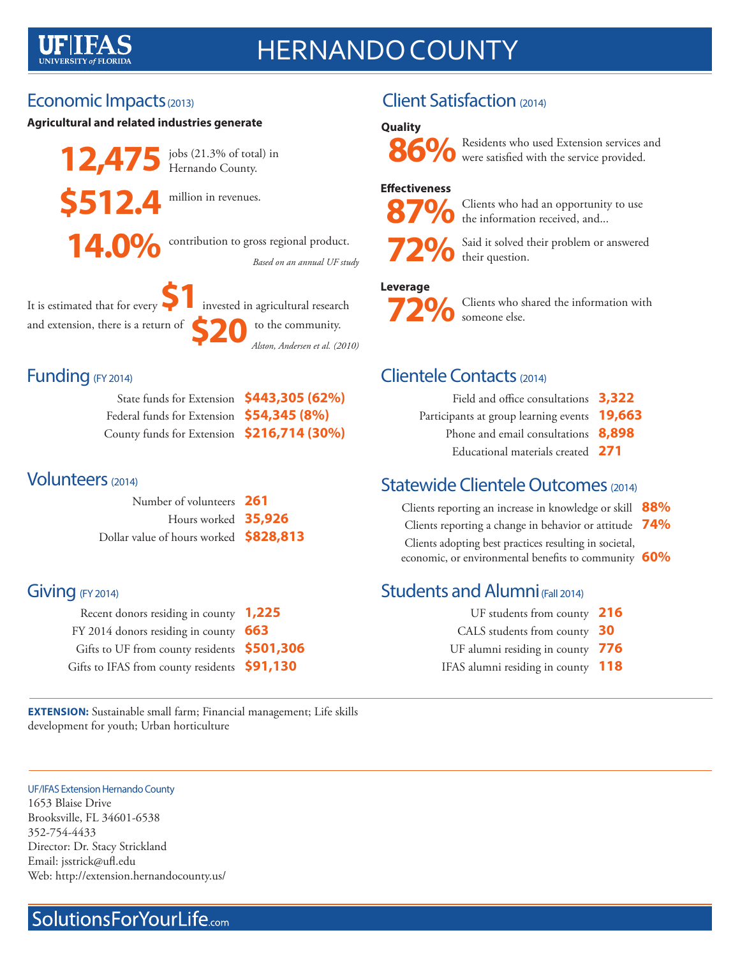# HERNANDO COUNTY

## Economic Impacts (2013)

### **Agricultural and related industries generate**

**12,475** jobs (21.3% of total) in **\$512.4** million in revenues.

Hernando County.

14.0% contribution to gross regional product. *Based on an annual UF study*

It is estimated that for every

to the community. **\$1**invested in agricultural research and extension, there is a return of **\$20** to the community.<br>Alston, Andersen et al. (2010)

### Funding (FY 2014)

| State funds for Extension \$443,305 (62%)  |  |
|--------------------------------------------|--|
| Federal funds for Extension \$54,345 (8%)  |  |
| County funds for Extension \$216,714 (30%) |  |

### Volunteers (2014)

| Number of volunteers 261               |  |
|----------------------------------------|--|
| Hours worked 35,926                    |  |
| Dollar value of hours worked \$828,813 |  |

## Giving (FY 2014)

| Recent donors residing in county 1,225       |  |
|----------------------------------------------|--|
| FY 2014 donors residing in county 663        |  |
| Gifts to UF from county residents \$501,306  |  |
| Gifts to IFAS from county residents \$91,130 |  |

**EXTENSION:** Sustainable small farm; Financial management; Life skills development for youth; Urban horticulture

### UF/IFAS Extension Hernando County 1653 Blaise Drive Brooksville, FL 34601-6538 352-754-4433 Director: Dr. Stacy Strickland

Email: jsstrick@ufl.edu Web: http://extension.hernandocounty.us/

## SolutionsForYourLife.com

## Client Satisfaction (2014)

### **Quality**



**86%** Residents who used Extension services and were satisfied with the service provided.

### **Effectiveness**



 **87%** Clients who had an opportunity to use the information received, and...



Said it solved their problem or answered their question.

### **Leverage**



 **72%** Clients who shared the information with someone else.

### Clientele Contacts (2014)

| Field and office consultations 3,322         |  |
|----------------------------------------------|--|
| Participants at group learning events 19,663 |  |
| Phone and email consultations 8,898          |  |
|                                              |  |

Educational materials created **271**

## Statewide Clientele Outcomes (2014)

 Clients reporting an increase in knowledge or skill **88%** Clients reporting a change in behavior or attitude **74%** Clients adopting best practices resulting in societal, economic, or environmental benefits to community **60%**

## Students and Alumni (Fall 2014)

UF students from county **216** CALS students from county **30** UF alumni residing in county **776** IFAS alumni residing in county **118**